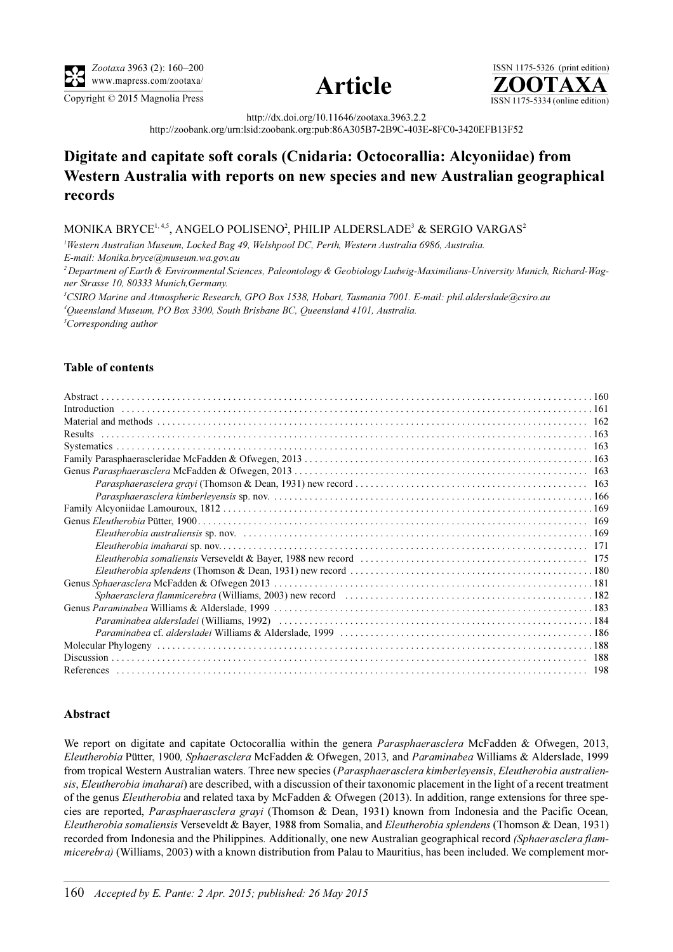

Copyright © 2015 Magnolia Press ISSN 1175-5334 (online edition)



ISSN 1175-5326 (print edition)<br> $\overline{{\bf ZOOTAXA}}$ 

http://dx.doi.org/10.11646/zootaxa.3963.2.2

http://zoobank.org/urn:lsid:zoobank.org:pub:86A305B7-2B9C-403E-8FC0-3420EFB13F52

# Digitate and capitate soft corals (Cnidaria: Octocorallia: Alcyoniidae) from Western Australia with reports on new species and new Australian geographical records

## MONIKA BRYCE $^{1,4,5}$ , ANGELO POLISENO $^2$ , PHILIP ALDERSLADE $^3$  & SERGIO VARGAS $^2$

<sup>1</sup>Western Australian Museum, Locked Bag 49, Welshpool DC, Perth, Western Australia 6986, Australia. E-mail: Monika.bryce@museum.wa.gov.au <sup>2</sup> Department of Earth & Environmental Sciences, Paleontology & Geobiology Ludwig-Maximilians-University Munich, Richard-Wagner Strasse 10, 80333 Munich,Germany. 3 CSIRO Marine and Atmospheric Research, GPO Box 1538, Hobart, Tasmania 7001. E-mail: phil.alderslade@csiro.au 4 Queensland Museum, PO Box 3300, South Brisbane BC, Queensland 4101, Australia. <sup>5</sup>Corresponding author

### Table of contents

| Results |  |
|---------|--|
|         |  |
|         |  |
|         |  |
|         |  |
|         |  |
|         |  |
|         |  |
|         |  |
|         |  |
|         |  |
|         |  |
|         |  |
|         |  |
|         |  |
|         |  |
|         |  |
|         |  |
|         |  |
|         |  |
|         |  |

#### <span id="page-0-0"></span>Abstract

We report on digitate and capitate Octocorallia within the genera Parasphaerasclera McFadden & Ofwegen, 2013, Eleutherobia Pütter, 1900, Sphaerasclera McFadden & Ofwegen, 2013, and Paraminabea Williams & Alderslade, 1999 from tropical Western Australian waters. Three new species (Parasphaerasclera kimberleyensis, Eleutherobia australiensis, Eleutherobia imaharai) are described, with a discussion of their taxonomic placement in the light of a recent treatment of the genus *Eleutherobia* and related taxa by McFadden & Ofwegen (2013). In addition, range extensions for three species are reported, Parasphaerasclera grayi (Thomson & Dean, 1931) known from Indonesia and the Pacific Ocean, Eleutherobia somaliensis Verseveldt & Bayer, 1988 from Somalia, and Eleutherobia splendens (Thomson & Dean, 1931) recorded from Indonesia and the Philippines. Additionally, one new Australian geographical record (Sphaerasclera flammicerebra) (Williams, 2003) with a known distribution from Palau to Mauritius, has been included. We complement mor-